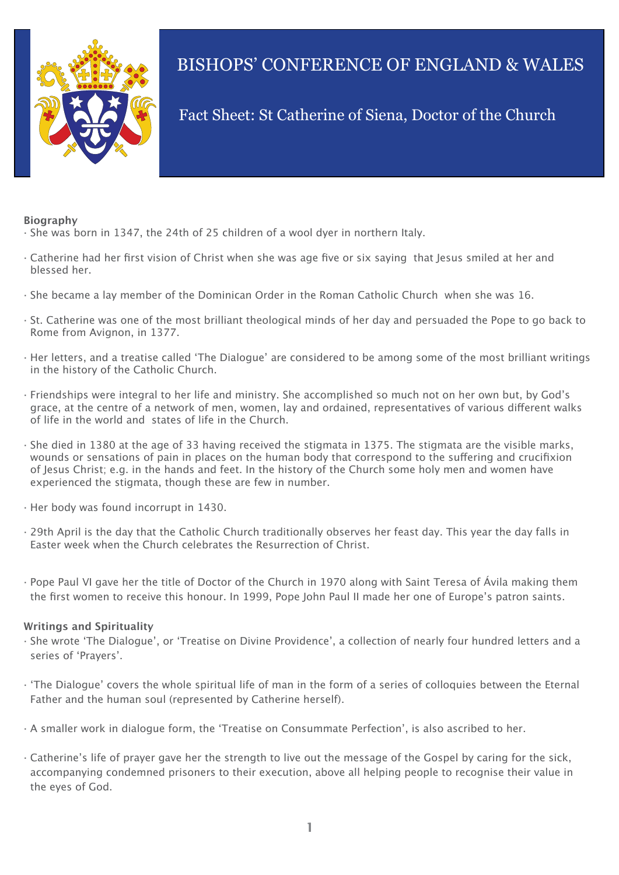

# BISHOPS' CONFERENCE OF ENGLAND & WALES

# Fact Sheet: St Catherine of Siena, Doctor of the Church

#### **Biography**

- · She was born in 1347, the 24th of 25 children of a wool dyer in northern Italy.
- · Catherine had her first vision of Christ when she was age five or six saying that Jesus smiled at her and blessed her.
- · She became a lay member of the Dominican Order in the Roman Catholic Church when she was 16.
- · St. Catherine was one of the most brilliant theological minds of her day and persuaded the Pope to go back to Rome from Avignon, in 1377.
- · Her letters, and a treatise called 'The Dialogue' are considered to be among some of the most brilliant writings in the history of the Catholic Church.
- · Friendships were integral to her life and ministry. She accomplished so much not on her own but, by God's grace, at the centre of a network of men, women, lay and ordained, representatives of various different walks of life in the world and states of life in the Church.
- · She died in 1380 at the age of 33 having received the stigmata in 1375. The stigmata are the visible marks, wounds or sensations of pain in places on the human body that correspond to the suffering and crucifixion of Jesus Christ; e.g. in the hands and feet. In the history of the Church some holy men and women have experienced the stigmata, though these are few in number.
- · Her body was found incorrupt in 1430.
- · 29th April is the day that the Catholic Church traditionally observes her feast day. This year the day falls in Easter week when the Church celebrates the Resurrection of Christ.
- · Pope Paul VI gave her the title of Doctor of the Church in 1970 along with Saint Teresa of Ávila making them the first women to receive this honour. In 1999, Pope John Paul II made her one of Europe's patron saints.

#### **Writings and Spirituality**

- · She wrote 'The Dialogue', or 'Treatise on Divine Providence', a collection of nearly four hundred letters and a series of 'Prayers'.
- · 'The Dialogue' covers the whole spiritual life of man in the form of a series of colloquies between the Eternal Father and the human soul (represented by Catherine herself).
- · A smaller work in dialogue form, the 'Treatise on Consummate Perfection', is also ascribed to her.
- · Catherine's life of prayer gave her the strength to live out the message of the Gospel by caring for the sick, accompanying condemned prisoners to their execution, above all helping people to recognise their value in the eyes of God.